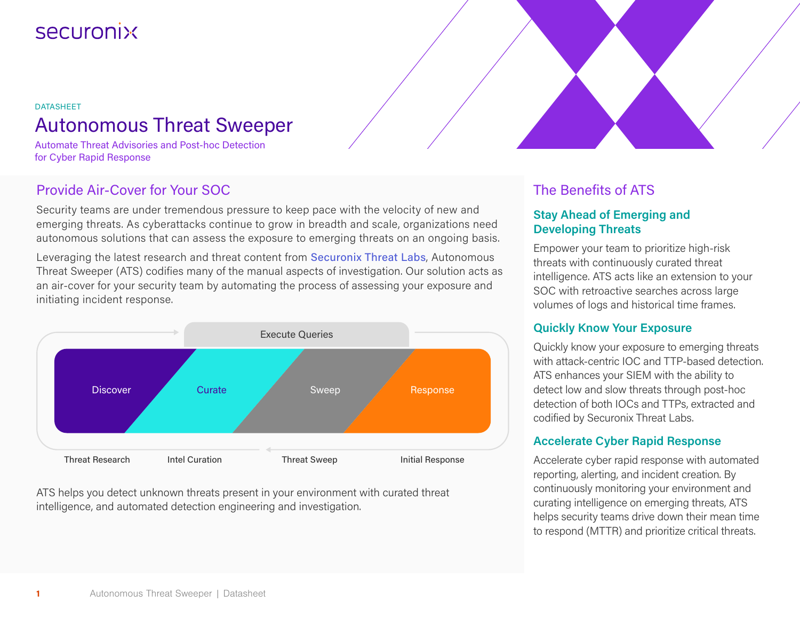# **Securonix**

## DATASHEET Autonomous Threat Sweeper

Automate Threat Advisories and Post-hoc Detection for Cyber Rapid Response

## Provide Air-Cover for Your SOC

Security teams are under tremendous pressure to keep pace with the velocity of new and emerging threats. As cyberattacks continue to grow in breadth and scale, organizations need autonomous solutions that can assess the exposure to emerging threats on an ongoing basis.

Leveraging the latest research and threat content from [Securonix Threat Labs](https://www.securonix.com/securonix-threat-research-lab), Autonomous Threat Sweeper (ATS) codifies many of the manual aspects of investigation. Our solution acts as an air-cover for your security team by automating the process of assessing your exposure and initiating incident response.



ATS helps you detect unknown threats present in your environment with curated threat intelligence, and automated detection engineering and investigation.

## The Benefits of ATS

#### **Stay Ahead of Emerging and Developing Threats**

Empower your team to prioritize high-risk threats with continuously curated threat intelligence. ATS acts like an extension to your SOC with retroactive searches across large volumes of logs and historical time frames.

#### **Quickly Know Your Exposure**

Quickly know your exposure to emerging threats with attack-centric IOC and TTP-based detection. ATS enhances your SIEM with the ability to detect low and slow threats through post-hoc detection of both IOCs and TTPs, extracted and codified by Securonix Threat Labs.

#### **Accelerate Cyber Rapid Response**

Accelerate cyber rapid response with automated reporting, alerting, and incident creation. By continuously monitoring your environment and curating intelligence on emerging threats, ATS helps security teams drive down their mean time to respond (MTTR) and prioritize critical threats.